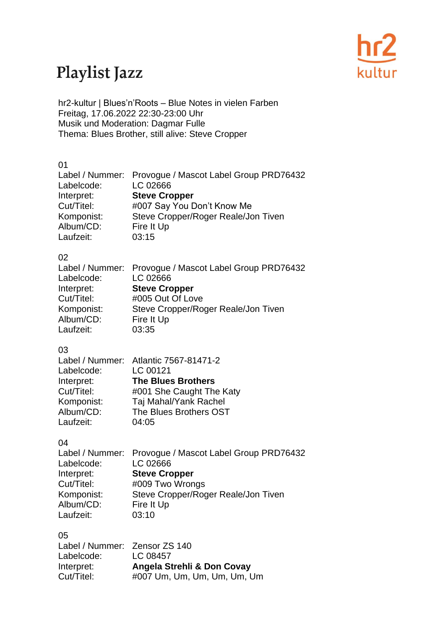

## Playlist Jazz

hr2-kultur | Blues'n'Roots – Blue Notes in vielen Farben Freitag, 17.06.2022 22:30-23:00 Uhr Musik und Moderation: Dagmar Fulle Thema: Blues Brother, still alive: Steve Cropper

#### 01

| Label / Nummer: Provogue / Mascot Label Group PRD76432 |
|--------------------------------------------------------|
| LC 02666                                               |
| <b>Steve Cropper</b>                                   |
| #007 Say You Don't Know Me                             |
| Steve Cropper/Roger Reale/Jon Tiven                    |
| Fire It Up                                             |
| 03:15                                                  |
|                                                        |

#### 02

| Label / Nummer: Provogue / Mascot Label Group PRD76432 |
|--------------------------------------------------------|
| LC 02666                                               |
| <b>Steve Cropper</b>                                   |
| #005 Out Of Love                                       |
| Steve Cropper/Roger Reale/Jon Tiven                    |
| Fire It Up                                             |
| 03:35                                                  |
|                                                        |

#### 03

|            | Label / Nummer: Atlantic 7567-81471-2 |
|------------|---------------------------------------|
| Labelcode: | LC 00121                              |
| Interpret: | <b>The Blues Brothers</b>             |
| Cut/Titel: | #001 She Caught The Katy              |
| Komponist: | Taj Mahal/Yank Rachel                 |
| Album/CD:  | The Blues Brothers OST                |
| Laufzeit:  | 04:05                                 |

#### 04

|            | Label / Nummer: Provogue / Mascot Label Group PRD76432 |
|------------|--------------------------------------------------------|
| Labelcode: | LC 02666                                               |
| Interpret: | <b>Steve Cropper</b>                                   |
| Cut/Titel: | #009 Two Wrongs                                        |
| Komponist: | Steve Cropper/Roger Reale/Jon Tiven                    |
| Album/CD:  | Fire It Up                                             |
| Laufzeit:  | 03:10                                                  |

#### 05

| Label / Nummer: Zensor ZS 140<br>Labelcode: | LC 08457                    |
|---------------------------------------------|-----------------------------|
| Interpret:                                  | Angela Strehli & Don Covay  |
| Cut/Titel:                                  | #007 Um, Um, Um, Um, Um, Um |